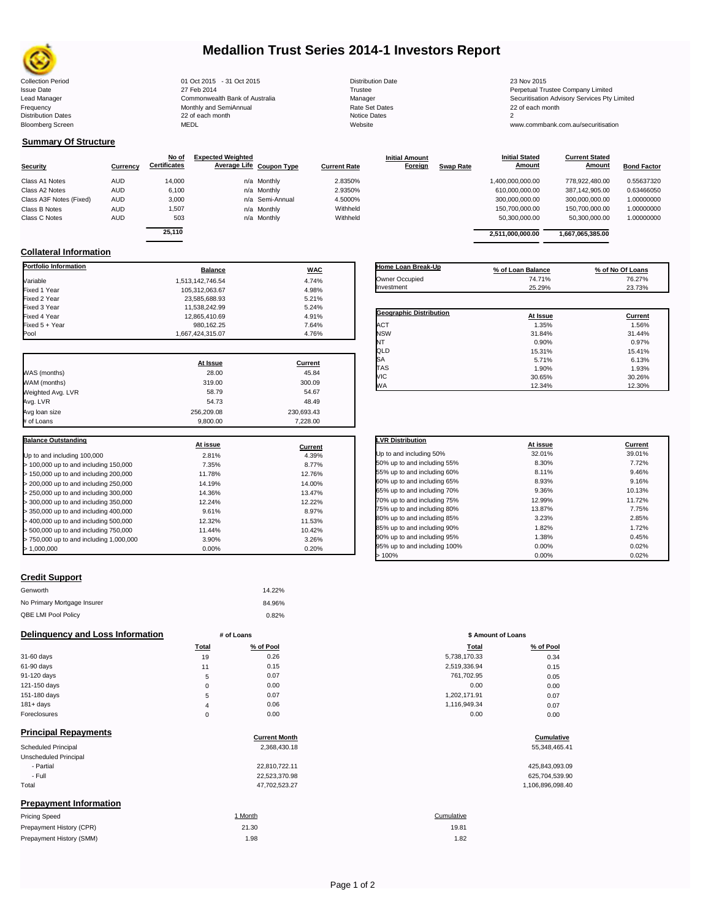

# **Medallion Trust Series 2014-1 Investors Report**

Collection Period 2015 - 01 Oct 2015 - 31 Oct 2015 - 2015 - 2015 Distribution Date 23 Nov 2015 23 Nov 2015<br>
27 Feb 2014 27 Seb 2014 Trustee 2014 Trustee 2014 Distribution Date 23 Nov 2015 Issue Date 27 Feb 2014 27 Feb 2014<br>Lead Manager Commonwealth Bank of Australia Manager Manager Securitisation Advisory Services Pty Limited Frequency **Contract Contract Contract Contract Contract Contract Contract Contract Contract Contract Properties Accord Properties Contract Contract Properties Contract Properties Contract Properties Contract Contract Contr** 

## **Summary Of Structure**

|                         |            | No of               | <b>Expected Weighted</b> |                     | <b>Initial Amount</b> |                  | <b>Initial Stated</b> | <b>Current Stated</b> |                    |
|-------------------------|------------|---------------------|--------------------------|---------------------|-----------------------|------------------|-----------------------|-----------------------|--------------------|
| Security                | Currency   | <b>Certificates</b> | Average Life Coupon Type | <b>Current Rate</b> | Foreign               | <b>Swap Rate</b> | <b>Amount</b>         | <b>Amount</b>         | <b>Bond Factor</b> |
| Class A1 Notes          | <b>AUD</b> | 14,000              | n/a Monthly              | 2.8350%             |                       |                  | 1,400,000,000.00      | 778.922.480.00        | 0.55637320         |
| Class A2 Notes          | <b>AUD</b> | 6,100               | n/a Monthly              | 2.9350%             |                       |                  | 610,000,000.00        | 387,142,905.00        | 0.63466050         |
| Class A3F Notes (Fixed) | <b>AUD</b> | 3,000               | n/a Semi-Annual          | 4.5000%             |                       |                  | 300,000,000.00        | 300.000.000.00        | 1.00000000         |
| Class B Notes           | <b>AUD</b> | 1,507               | n/a Monthly              | Withheld            |                       |                  | 150,700,000.00        | 150,700,000.00        | 1.00000000         |
| Class C Notes           | <b>AUD</b> | 503                 | n/a Monthly              | Withheld            |                       |                  | 50,300,000.00         | 50,300,000.00         | 1.00000000         |
|                         |            | $-112$              |                          |                     |                       |                  |                       |                       |                    |

| Luuu munuyui                | <u> OUITINIUI IVIUANI PUITIN UI 7 NIUN AIIU </u> | manayor        | Occarmodion Advisory Octvices Fty E |
|-----------------------------|--------------------------------------------------|----------------|-------------------------------------|
| Frequency                   | Monthly and SemiAnnual                           | Rate Set Dates | 22 of each month                    |
| <b>Distribution Dates</b>   | 22 of each month                                 | Notice Dates   |                                     |
| Bloomberg Screen            | <b>MEDL</b>                                      | Website        | www.commbank.com.au/securitisation  |
| <b>Summary Of Structure</b> |                                                  |                |                                     |

| Currency | No of<br><b>Certificates</b> | <b>Expected Weighted</b> | Average Life Coupon Type | Current Rate | <b>Initial Amount</b><br>Foreign | <b>Swap Rate</b> | <b>Initial Stated</b><br>Amount | <b>Current Stated</b><br>Amount | <b>Bond Factor</b> |
|----------|------------------------------|--------------------------|--------------------------|--------------|----------------------------------|------------------|---------------------------------|---------------------------------|--------------------|
| AUD      | 14.000                       |                          | n/a Monthly              | 2.8350%      |                                  |                  | 1.400.000.000.00                | 778.922.480.00                  | 0.55637320         |
| AUD      | 6.100                        |                          | n/a Monthly              | 2.9350%      |                                  |                  | 610.000.000.00                  | 387.142.905.00                  | 0.63466050         |
| AUD      | 3.000                        |                          | n/a Semi-Annual          | 4.5000%      |                                  |                  | 300.000.000.00                  | 300.000.000.00                  | 00000000.          |
| AUD      | 1.507                        |                          | n/a Monthly              | Withheld     |                                  |                  | 150.700.000.00                  | 150.700.000.00                  | 00000000.          |
| AUD      | 503                          |                          | n/a Monthly              | Withheld     |                                  |                  | 50.300.000.00                   | 50.300.000.00                   | 00000000.          |
|          | 25.110                       |                          |                          |              |                                  |                  | 2.511.000.000.00                | 1.667.065.385.00                |                    |

## **Collateral Information**

| <b>Portfolio Information</b>            | <b>Balance</b>   | <b>WAC</b>     |
|-----------------------------------------|------------------|----------------|
| Variable                                | 1.513.142.746.54 | 4.74%          |
| Fixed 1 Year                            | 105,312,063.67   | 4.98%          |
| Fixed 2 Year                            | 23,585,688.93    | 5.21%          |
| Fixed 3 Year                            | 11,538,242.99    | 5.24%          |
| Fixed 4 Year                            | 12,865,410.69    | 4.91%          |
| Fixed 5 + Year                          | 980,162.25       | 7.64%          |
| Pool                                    | 1,667,424,315.07 | 4.76%          |
|                                         | At Issue         | <b>Current</b> |
| WAS (months)                            | 28.00            | 45.84          |
| WAM (months)                            | 319.00           | 300.09         |
| Weighted Avg. LVR                       | 58.79            | 54.67          |
| Avg. LVR                                | 54.73            | 48.49          |
| Avg loan size                           | 256,209.08       | 230,693.43     |
| # of Loans                              | 9,800.00         | 7,228.00       |
| <b>Balance Outstanding</b>              |                  |                |
|                                         | At issue         | Current        |
| Up to and including 100,000             | 2.81%            | 4.39%          |
| > 100,000 up to and including 150,000   | 7.35%            | 8.77%          |
| > 150,000 up to and including 200,000   | 11.78%           | 12.76%         |
| > 200,000 up to and including 250,000   | 14.19%           | 14.00%         |
| > 250,000 up to and including 300,000   | 14.36%           | 13.47%         |
| > 300,000 up to and including 350,000   | 12.24%           | 12.22%         |
| > 350,000 up to and including 400,000   | 9.61%            | 8.97%          |
| > 400,000 up to and including 500,000   | 12.32%           | 11.53%         |
| > 500,000 up to and including 750,000   | 11.44%           | 10.42%         |
| > 750,000 up to and including 1,000,000 | 3.90%            | 3.26%          |
| > 1,000,000                             | 0.00%            | 0.20%          |

| Home Loan Break-Up             | % of Loan Balance | % of No Of Loans |
|--------------------------------|-------------------|------------------|
| Owner Occupied                 | 74.71%            | 76.27%           |
| Investment                     | 25.29%            | 23.73%           |
|                                |                   |                  |
| <b>Geographic Distribution</b> | At Issue          | Current          |
| <b>ACT</b>                     | 1.35%             | 1.56%            |
| <b>NSW</b>                     | 31.84%            | 31.44%           |
| NT                             | 0.90%             | 0.97%            |
| QLD                            | 15.31%            | 15.41%           |
| <b>SA</b>                      | 5.71%             | 6.13%            |
| <b>TAS</b>                     | 1.90%             | 1.93%            |
| VIC                            | 30.65%            | 30.26%           |
| <b>WA</b>                      | 12.34%            | 12.30%           |

| <b>LVR Distribution</b>      | At issue | Current |
|------------------------------|----------|---------|
| Up to and including 50%      | 32.01%   | 39.01%  |
| 50% up to and including 55%  | 8.30%    | 7.72%   |
| 55% up to and including 60%  | 8.11%    | 9.46%   |
| 60% up to and including 65%  | 8.93%    | 9.16%   |
| 65% up to and including 70%  | 9.36%    | 10.13%  |
| 70% up to and including 75%  | 12.99%   | 11.72%  |
| 75% up to and including 80%  | 13.87%   | 7.75%   |
| 80% up to and including 85%  | 3.23%    | 2.85%   |
| 85% up to and including 90%  | 1.82%    | 1.72%   |
| 90% up to and including 95%  | 1.38%    | 0.45%   |
| 95% up to and including 100% | 0.00%    | 0.02%   |
| >100%                        | 0.00%    | 0.02%   |

### **Credit Support**

| Genworth                    | 14.22% |
|-----------------------------|--------|
| No Primary Mortgage Insurer | 84.96% |
| QBE LMI Pool Policy         | 0.82%  |

### **Delinquency and Loss Information # of Loans # of Loans \$ Amount of Loans**

|              | Total  | % of Pool | <b>Total</b> | % of Pool |
|--------------|--------|-----------|--------------|-----------|
| 31-60 days   | 19     | 0.26      | 5,738,170.33 | 0.34      |
| 61-90 days   | 11     | 0.15      | 2,519,336.94 | 0.15      |
| 91-120 days  | 5      | 0.07      | 761,702.95   | 0.05      |
| 121-150 days | 0      | 0.00      | 0.00         | 0.00      |
| 151-180 days | 5      | 0.07      | 1.202.171.91 | 0.07      |
| $181 + days$ | 4      | 0.06      | 1,116,949.34 | 0.07      |
| Eoroglocuroc | $\sim$ | 0.00      | 0.00         | 0.00      |

| <b>Principal Repayments</b>   |                      |                  |
|-------------------------------|----------------------|------------------|
|                               | <b>Current Month</b> | Cumulative       |
| Scheduled Principal           | 2,368,430.18         | 55,348,465.41    |
| Unscheduled Principal         |                      |                  |
| - Partial                     | 22,810,722.11        | 425,843,093.09   |
| - Full                        | 22.523.370.98        | 625,704,539.90   |
| Total                         | 47,702,523.27        | 1.106.896.098.40 |
| <b>Prepayment Information</b> |                      |                  |
| Pricing Speed                 | 1 Month              | Cumulative       |

| <b>Pricing Speed</b>     | Month | Cumulative |
|--------------------------|-------|------------|
| Prepayment History (CPR) | 21.30 | 19.81      |
| Prepayment History (SMM) | .98   | 1.82       |

| 50% up to and including 55%  | 8.30%  | 7.72%  |
|------------------------------|--------|--------|
| 55% up to and including 60%  | 8.11%  | 9.46%  |
| 60% up to and including 65%  | 8.93%  | 9.16%  |
| 65% up to and including 70%  | 9.36%  | 10.13% |
| 70% up to and including 75%  | 12.99% | 11.72% |
| 75% up to and including 80%  | 13.87% | 7.75%  |
| 80% up to and including 85%  | 3.23%  | 2.85%  |
| 85% up to and including 90%  | 1.82%  | 1.72%  |
| 90% up to and including 95%  | 1.38%  | 0.45%  |
| 95% up to and including 100% | 0.00%  | 0.02%  |
| 100%                         | 0.00%  | 0.02%  |

|              | Total | % of Pool | <b>Total</b> | % of Pool |
|--------------|-------|-----------|--------------|-----------|
| 31-60 days   | 19    | 0.26      | 5,738,170.33 | 0.34      |
| 61-90 days   | 11    | 0.15      | 2,519,336.94 | 0.15      |
| 91-120 days  | 5     | 0.07      | 761,702.95   | 0.05      |
| 121-150 days |       | 0.00      | 0.00         | 0.00      |
| 151-180 days | 5     | 0.07      | 1,202,171.91 | 0.07      |
| $181 + days$ |       | 0.06      | 1,116,949.34 | 0.07      |
| Foreclosures |       | 0.00      | 0.00         | 0.00      |
|              |       |           |              |           |

# **Cumulative**<br> **Cumulative**

| 425.843.093.09   |
|------------------|
| 625,704,539.90   |
| 1.106.896.098.40 |